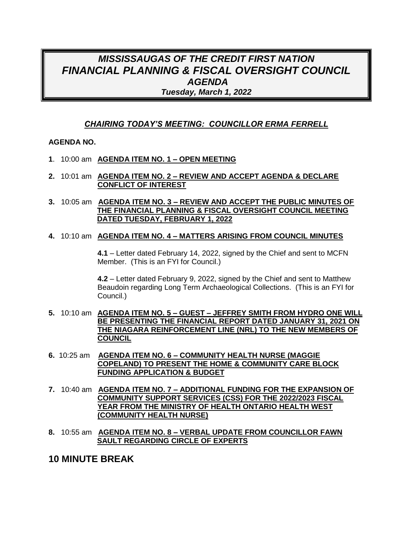## *MISSISSAUGAS OF THE CREDIT FIRST NATION FINANCIAL PLANNING & FISCAL OVERSIGHT COUNCIL AGENDA Tuesday, March 1, 2022*

#### *CHAIRING TODAY'S MEETING: COUNCILLOR ERMA FERRELL*

#### **AGENDA NO.**

- **1**. 10:00 am **AGENDA ITEM NO. 1 – OPEN MEETING**
- **2.** 10:01 am **AGENDA ITEM NO. 2 – REVIEW AND ACCEPT AGENDA & DECLARE CONFLICT OF INTEREST**
- **3.** 10:05 am **AGENDA ITEM NO. 3 – REVIEW AND ACCEPT THE PUBLIC MINUTES OF THE FINANCIAL PLANNING & FISCAL OVERSIGHT COUNCIL MEETING DATED TUESDAY, FEBRUARY 1, 2022**

#### **4.** 10:10 am **AGENDA ITEM NO. 4 – MATTERS ARISING FROM COUNCIL MINUTES**

**4.1** – Letter dated February 14, 2022, signed by the Chief and sent to MCFN Member. (This is an FYI for Council.)

**4.2** – Letter dated February 9, 2022, signed by the Chief and sent to Matthew Beaudoin regarding Long Term Archaeological Collections. (This is an FYI for Council.)

- **5.** 10:10 am **AGENDA ITEM NO. 5 – GUEST – JEFFREY SMITH FROM HYDRO ONE WILL BE PRESENTING THE FINANCIAL REPORT DATED JANUARY 31, 2021 ON THE NIAGARA REINFORCEMENT LINE (NRL) TO THE NEW MEMBERS OF COUNCIL**
- **6.** 10:25 am **AGENDA ITEM NO. 6 – COMMUNITY HEALTH NURSE (MAGGIE COPELAND) TO PRESENT THE HOME & COMMUNITY CARE BLOCK FUNDING APPLICATION & BUDGET**
- **7.** 10:40 am **AGENDA ITEM NO. 7 – ADDITIONAL FUNDING FOR THE EXPANSION OF COMMUNITY SUPPORT SERVICES (CSS) FOR THE 2022/2023 FISCAL YEAR FROM THE MINISTRY OF HEALTH ONTARIO HEALTH WEST (COMMUNITY HEALTH NURSE)**
- **8.** 10:55 am **AGENDA ITEM NO. 8 – VERBAL UPDATE FROM COUNCILLOR FAWN SAULT REGARDING CIRCLE OF EXPERTS**

## **10 MINUTE BREAK**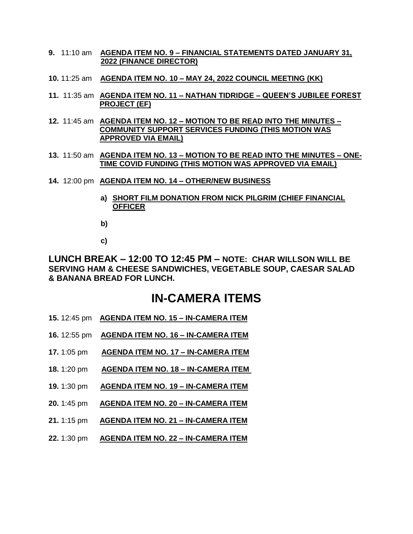- **9.** 11:10 am **AGENDA ITEM NO. 9 – FINANCIAL STATEMENTS DATED JANUARY 31, 2022 (FINANCE DIRECTOR)**
- **10.** 11:25 am **AGENDA ITEM NO. 10 – MAY 24, 2022 COUNCIL MEETING (KK)**
- **11.** 11:35 am **AGENDA ITEM NO. 11 – NATHAN TIDRIDGE – QUEEN'S JUBILEE FOREST PROJECT (EF)**
- **12.** 11:45 am **AGENDA ITEM NO. 12 – MOTION TO BE READ INTO THE MINUTES – COMMUNITY SUPPORT SERVICES FUNDING (THIS MOTION WAS APPROVED VIA EMAIL)**
- **13.** 11:50 am **AGENDA ITEM NO. 13 – MOTION TO BE READ INTO THE MINUTES – ONE-TIME COVID FUNDING (THIS MOTION WAS APPROVED VIA EMAIL)**
- **14.** 12:00 pm **AGENDA ITEM NO. 14 – OTHER/NEW BUSINESS**
	- **a) SHORT FILM DONATION FROM NICK PILGRIM (CHIEF FINANCIAL OFFICER**
	- **b)**
	- **c)**

**LUNCH BREAK – 12:00 TO 12:45 PM – NOTE: CHAR WILLSON WILL BE SERVING HAM & CHEESE SANDWICHES, VEGETABLE SOUP, CAESAR SALAD & BANANA BREAD FOR LUNCH.**

# **IN-CAMERA ITEMS**

- **15.** 12:45 pm **AGENDA ITEM NO. 15 – IN-CAMERA ITEM**
- **16.** 12:55 pm **AGENDA ITEM NO. 16 – IN-CAMERA ITEM**
- **17.** 1:05 pm **AGENDA ITEM NO. 17 – IN-CAMERA ITEM**
- **18.** 1:20 pm **AGENDA ITEM NO. 18 – IN-CAMERA ITEM**
- **19.** 1:30 pm **AGENDA ITEM NO. 19 – IN-CAMERA ITEM**
- **20.** 1:45 pm **AGENDA ITEM NO. 20 – IN-CAMERA ITEM**
- **21.** 1:15 pm **AGENDA ITEM NO. 21 – IN-CAMERA ITEM**
- **22.** 1:30 pm **AGENDA ITEM NO. 22 – IN-CAMERA ITEM**